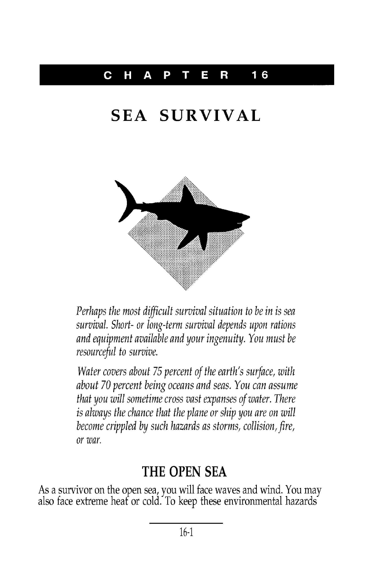#### C HAP T E R **16**

# **SEA SURVIVAL**



Perhaps the most difficult survival situation to be in is sea survival. Short- or long-term survival depends upon rations and equipment available and your ingenuity. You must be resourceful to survive.

Water covers about 75 percent of the earth's surface, with about 70 percent being oceans and seas. You can assume that you will sometime cross vast expanses of water. There is always the chance that the plane or ship you are on will become crippled by such hazards as storms, collision, fire, or war.

### **THE OPEN SEA**

As a survivor on the open sea, you will face waves and wind. You may also face extreme heat or cold. To keep these environmental hazard